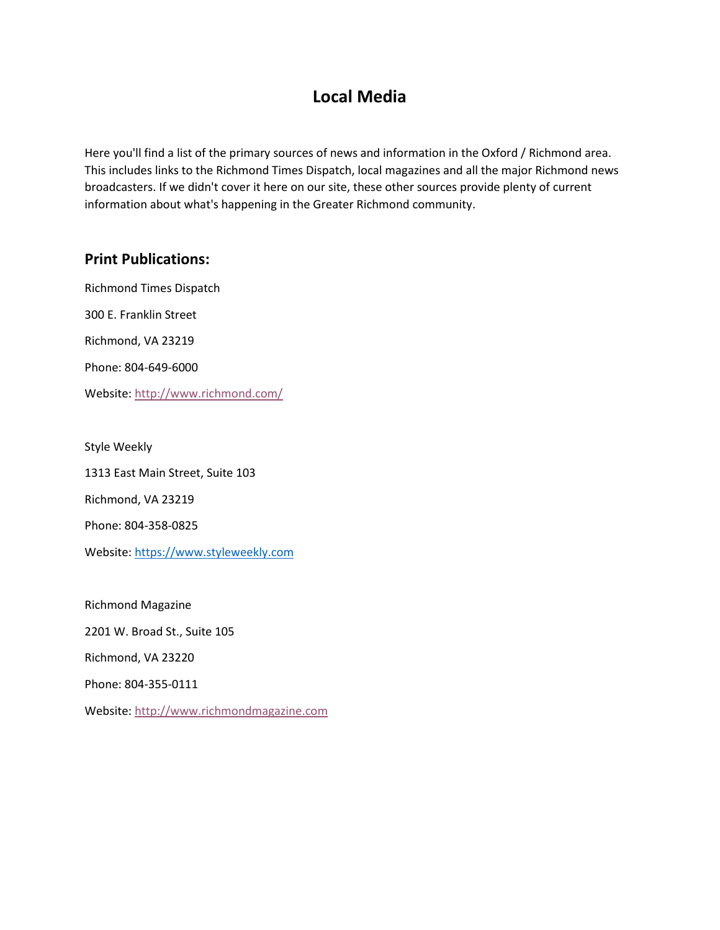## **Local Media**

Here you'll find a list of the primary sources of news and information in the Oxford / Richmond area. This includes links to the Richmond Times Dispatch, local magazines and all the major Richmond news broadcasters. If we didn't cover it here on our site, these other sources provide plenty of current information about what's happening in the Greater Richmond community.

## **Print Publications:**

Richmond Times Dispatch 300 E. Franklin Street Richmond, VA 23219 Phone: 804-649-6000 Website[: http://www.richmond.com/](http://www.richmond.com/)

Style Weekly 1313 East Main Street, Suite 103 Richmond, VA 23219 Phone: 804-358-0825 Website[: https://www.styleweekly.com](https://www.styleweekly.com/)

Richmond Magazine 2201 W. Broad St., Suite 105 Richmond, VA 23220 Phone: 804-355-0111

Website[: http://www.richmondmagazine.com](http://www.richmondmagazine.com/)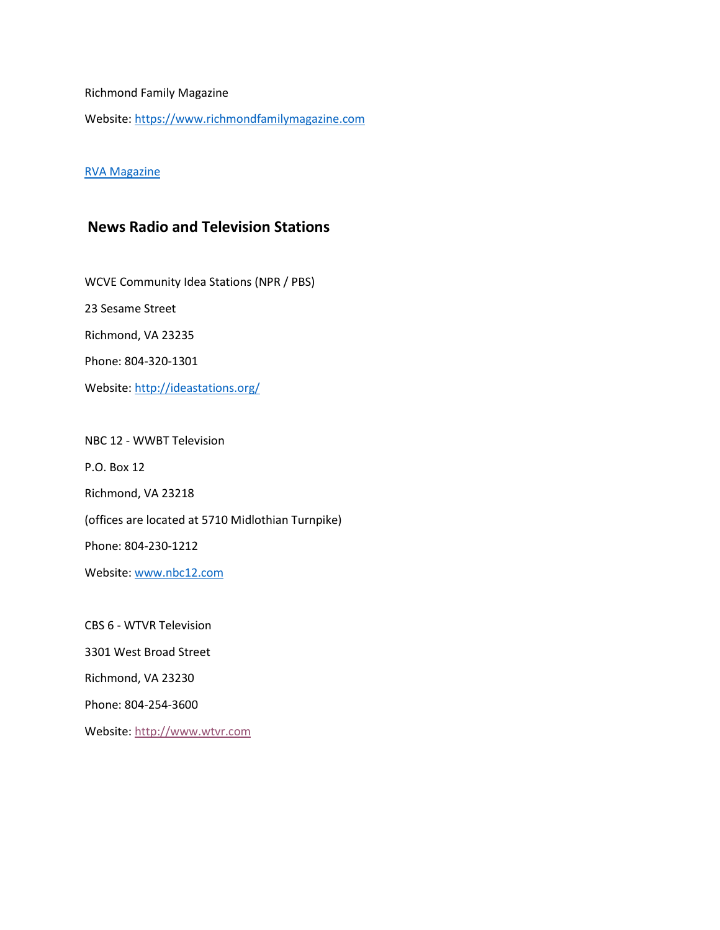Richmond Family Magazine

Website[: https://www.richmondfamilymagazine.com](https://www.richmondfamilymagazine.com/)

## [RVA Magazine](https://rvamag.com/)

## **News Radio and Television Stations**

WCVE Community Idea Stations (NPR / PBS) 23 Sesame Street Richmond, VA 23235 Phone: 804-320-1301 Website[: http://ideastations.org/](http://ideastations.org/)

NBC 12 - WWBT Television P.O. Box 12 Richmond, VA 23218 (offices are located at 5710 Midlothian Turnpike) Phone: 804-230-1212 Website[: www.nbc12.com](www.nbc12.com)

CBS 6 - WTVR Television 3301 West Broad Street Richmond, VA 23230 Phone: 804-254-3600 Website[: http://www.wtvr.com](http://www.wtvr.com/)